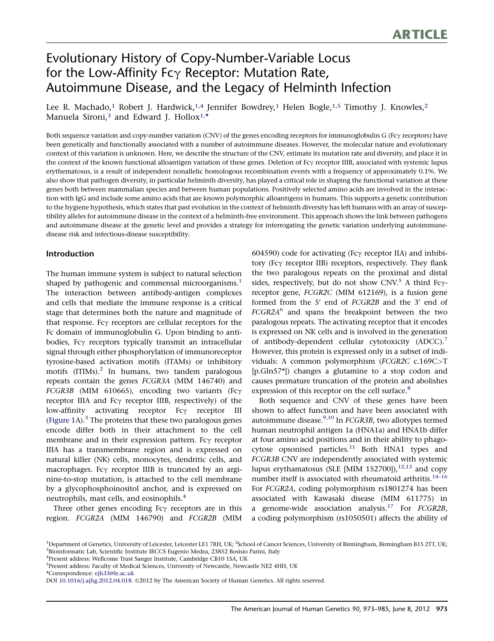# Evolutionary History of Copy-Number-Variable Locus for the Low-Affinity  $Fc\gamma$  Receptor: Mutation Rate, Autoimmune Disease, and the Legacy of Helminth Infection

Lee R. Machado,<sup>1</sup> Robert J. Hardwick,<sup>1,4</sup> Jennifer Bowdrey,<sup>1</sup> Helen Bogle,<sup>1,5</sup> Timothy J. Knowles,<sup>2</sup> Manuela Sironi,<sup>3</sup> and Edward J. Hollox<sup>1,\*</sup>

Both sequence variation and copy-number variation (CNV) of the genes encoding receptors for immunoglobulin G (Fc $\gamma$  receptors) have been genetically and functionally associated with a number of autoimmune diseases. However, the molecular nature and evolutionary context of this variation is unknown. Here, we describe the structure of the CNV, estimate its mutation rate and diversity, and place it in the context of the known functional alloantigen variation of these genes. Deletion of Fcy receptor IIIB, associated with systemic lupus erythematosus, is a result of independent nonallelic homologous recombination events with a frequency of approximately 0.1%. We also show that pathogen diversity, in particular helminth diversity, has played a critical role in shaping the functional variation at these genes both between mammalian species and between human populations. Positively selected amino acids are involved in the interaction with IgG and include some amino acids that are known polymorphic alloantigens in humans. This supports a genetic contribution to the hygiene hypothesis, which states that past evolution in the context of helminth diversity has left humans with an array of susceptibility alleles for autoimmune disease in the context of a helminth-free environment. This approach shows the link between pathogens and autoimmune disease at the genetic level and provides a strategy for interrogating the genetic variation underlying autoimmunedisease risk and infectious-disease susceptibility.

## Introduction

The human immune system is subject to natural selection shaped by pathogenic and commensal microorganisms.<sup>[1](#page-11-0)</sup> The interaction between antibody-antigen complexes and cells that mediate the immune response is a critical stage that determines both the nature and magnitude of that response. Fc $\gamma$  receptors are cellular receptors for the Fc domain of immunoglobulin G. Upon binding to antibodies, Fcy receptors typically transmit an intracellular signal through either phosphorylation of immunoreceptor tyrosine-based activation motifs (ITAMs) or inhibitory motifs (ITIMs).<sup>[2](#page-11-0)</sup> In humans, two tandem paralogous repeats contain the genes FCGR3A (MIM 146740) and  $FCGR3B$  (MIM 610665), encoding two variants (Fc $\gamma$ receptor IIIA and  $Fc\gamma$  receptor IIIB, respectively) of the low-affinity activating receptor Fcy receptor III ([Figure 1](#page-1-0)A). $3$  The proteins that these two paralogous genes encode differ both in their attachment to the cell membrane and in their expression pattern. Fc $\gamma$  receptor IIIA has a transmembrane region and is expressed on natural killer (NK) cells, monocytes, dendritic cells, and macrophages. Fc $\gamma$  receptor IIIB is truncated by an arginine-to-stop mutation, is attached to the cell membrane by a glycophosphoinositol anchor, and is expressed on neutrophils, mast cells, and eosinophils.[4](#page-11-0)

Three other genes encoding  $Fc\gamma$  receptors are in this region. FCGR2A (MIM 146790) and FCGR2B (MIM

604590) code for activating ( $Fc\gamma$  receptor IIA) and inhibitory (Fc $\gamma$  receptor IIB) receptors, respectively. They flank the two paralogous repeats on the proximal and distal sides, respectively, but do not show CNV.<sup>[5](#page-11-0)</sup> A third Fc $\gamma$ receptor gene, FCGR2C (MIM 612169), is a fusion gene formed from the  $5'$  end of  $FCGR2B$  and the  $3'$  end of  $FCGR2A<sup>6</sup>$  $FCGR2A<sup>6</sup>$  $FCGR2A<sup>6</sup>$  and spans the breakpoint between the two paralogous repeats. The activating receptor that it encodes is expressed on NK cells and is involved in the generation of antibody-dependent cellular cytotoxicity (ADCC).<sup>[7](#page-11-0)</sup> However, this protein is expressed only in a subset of individuals: A common polymorphism (FCGR2C c.169C>T [p.Gln57\*]) changes a glutamine to a stop codon and causes premature truncation of the protein and abolishes expression of this receptor on the cell surface.<sup>[8](#page-11-0)</sup>

Both sequence and CNV of these genes have been shown to affect function and have been associated with autoimmune disease. $9,10$  In *FCGR3B*, two allotypes termed human neutrophil antigen 1a (HNA1a) and HNA1b differ at four amino acid positions and in their ability to phagocytose opsonised particles. $11$  Both HNA1 types and FCGR3B CNV are independently associated with systemic lupus erythamatosus (SLE [MIM 152700]), $^{12,13}$  $^{12,13}$  $^{12,13}$  and copy number itself is associated with rheumatoid arthritis.<sup>14-16</sup> For FCGR2A, coding polymorphism rs1801274 has been associated with Kawasaki disease (MIM 611775) in a genome-wide association analysis.<sup>[17](#page-11-0)</sup> For  $FCGR2B$ , a coding polymorphism (rs1050501) affects the ability of

<sup>4</sup>Present address: Wellcome Trust Sanger Institute, Cambridge CB10 1SA, UK

\*Correspondence: [ejh33@le.ac.uk](mailto:ejh33@le.ac.uk)

<sup>&</sup>lt;sup>1</sup>Department of Genetics, University of Leicester, Leicester LE1 7RH, UK; <sup>2</sup>School of Cancer Sciences, University of Birmingham, Birmingham B15 2TT, UK; <sup>3</sup>Bioinformatic Lab, Scientific Institute IRCCS Eugenio Medea, 23852 Bosisio Parini, Italy

<sup>&</sup>lt;sup>5</sup>Present address: Faculty of Medical Sciences, University of Newcastle, Newcastle NE2 4HH, UK

DOI [10.1016/j.ajhg.2012.04.018.](http://dx.doi.org/10.1016/j.ajhg.2012.04.018) ©2012 by The American Society of Human Genetics. All rights reserved.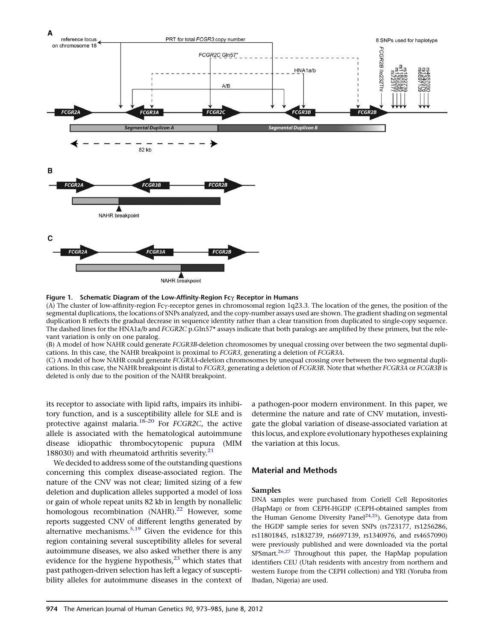<span id="page-1-0"></span>

Figure 1. Schematic Diagram of the Low-Affinity-Region Fc $\gamma$  Receptor in Humans<br>(A) The cluster of low-affinity-region Fc $\gamma$ -receptor genes in chromosomal region 1q23.3. The location of the genes, the position of the (A) The cluster of low-affinity-region Fcγ-receptor genes in chromosomal region 1q23.3. The location of the genes, the position of the<br>segmental duplications, the locations of SNPs analyzed, and the copy-number assays used duplication B reflects the gradual decrease in sequence identity rather than a clear transition from duplicated to single-copy sequence. The dashed lines for the HNA1a/b and FCGR2C p.Gln57\* assays indicate that both paralogs are amplified by these primers, but the relevant variation is only on one paralog.

(B) A model of how NAHR could generate FCGR3B-deletion chromosomes by unequal crossing over between the two segmental duplications. In this case, the NAHR breakpoint is proximal to FCGR3, generating a deletion of FCGR3A.

(C) A model of how NAHR could generate FCGR3A-deletion chromosomes by unequal crossing over between the two segmental duplications. In this case, the NAHR breakpoint is distal to FCGR3, generating a deletion of FCGR3B. Note that whether FCGR3A or FCGR3B is deleted is only due to the position of the NAHR breakpoint.

its receptor to associate with lipid rafts, impairs its inhibitory function, and is a susceptibility allele for SLE and is protective against malaria.[18–20](#page-11-0) For FCGR2C, the active allele is associated with the hematological autoimmune disease idiopathic thrombocytopenic pupura (MIM 188030) and with rheumatoid arthritis severity.<sup>[21](#page-11-0)</sup>

We decided to address some of the outstanding questions concerning this complex disease-associated region. The nature of the CNV was not clear; limited sizing of a few deletion and duplication alleles supported a model of loss or gain of whole repeat units 82 kb in length by nonallelic homologous recombination (NAHR).<sup>[22](#page-11-0)</sup> However, some reports suggested CNV of different lengths generated by alternative mechanisms.<sup>[5,19](#page-11-0)</sup> Given the evidence for this region containing several susceptibility alleles for several autoimmune diseases, we also asked whether there is any evidence for the hygiene hypothesis, $^{23}$  $^{23}$  $^{23}$  which states that past pathogen-driven selection has left a legacy of susceptibility alleles for autoimmune diseases in the context of a pathogen-poor modern environment. In this paper, we determine the nature and rate of CNV mutation, investigate the global variation of disease-associated variation at this locus, and explore evolutionary hypotheses explaining the variation at this locus.

## Material and Methods

#### Samples

DNA samples were purchased from Coriell Cell Repositories (HapMap) or from CEPH-HGDP (CEPH-obtained samples from the Human Genome Diversity Panel<sup>24,25</sup>). Genotype data from the HGDP sample series for seven SNPs (rs723177, rs1256286, rs11801845, rs1832739, rs6697139, rs1340976, and rs4657090) were previously published and were downloaded via the portal SPSmart.<sup>[26,27](#page-11-0)</sup> Throughout this paper, the HapMap population identifiers CEU (Utah residents with ancestry from northern and western Europe from the CEPH collection) and YRI (Yoruba from Ibadan, Nigeria) are used.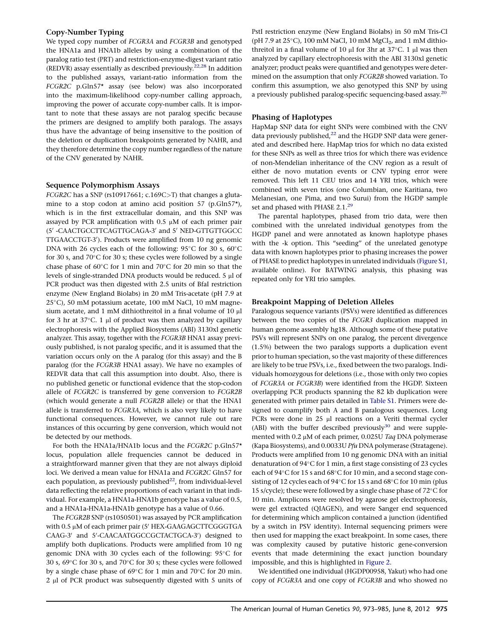## Copy-Number Typing

We typed copy number of FCGR3A and FCGR3B and genotyped the HNA1a and HNA1b alleles by using a combination of the paralog ratio test (PRT) and restriction-enzyme-digest variant ratio (REDVR) assay essentially as described previously.<sup>[22,28](#page-11-0)</sup> In addition to the published assays, variant-ratio information from the FCGR2C p.Gln57\* assay (see below) was also incorporated into the maximum-likelihood copy-number calling approach, improving the power of accurate copy-number calls. It is important to note that these assays are not paralog specific because the primers are designed to amplify both paralogs. The assays thus have the advantage of being insensitive to the position of the deletion or duplication breakpoints generated by NAHR, and they therefore determine the copy number regardless of the nature of the CNV generated by NAHR.

#### Sequence Polymorphism Assays

FCGR2C has a SNP (rs10917661; c.169C>T) that changes a glutamine to a stop codon at amino acid position 57 (p.Gln57\*), which is in the first extracellular domain, and this SNP was assayed by PCR amplification with  $0.5 \mu M$  of each primer pair (5' -CAACTGCCTTCAGTTGCAGA-3' and 5' NED-GTTGTTGGCC TTGAACCTGT-3'). Products were amplified from 10 ng genomic DNA with 26 cycles each of the following: 95°C for 30 s, 60°C  $\,$ for 30 s, and 70°C for 30 s; these cycles were followed by a single chase phase of 60 $\rm ^{\circ}C$  for 1 min and 70 $\rm ^{\circ}C$  for 20 min so that the levels of single-stranded DNA products would be reduced. 5 µl of PCR product was then digested with 2.5 units of BfaI restriction enzyme (New England Biolabs) in 20 mM Tris-acetate (pH 7.9 at 25-C), 50 mM potassium acetate, 100 mM NaCl, 10 mM magnesium acetate, and 1 mM dithiothreitol in a final volume of 10  $\mu$ l for 3 hr at  $37^{\circ}$ C. 1 µ of product was then analyzed by capillary<br>electrophoresis with the Applied Biosystems (ABD 2120xL capatio electrophoresis with the Applied Biosystems (ABI) 3130xl genetic analyzer. This assay, together with the FCGR3B HNA1 assay previously published, is not paralog specific, and it is assumed that the variation occurs only on the A paralog (for this assay) and the B paralog (for the FCGR3B HNA1 assay). We have no examples of REDVR data that call this assumption into doubt. Also, there is no published genetic or functional evidence that the stop-codon allele of FCGR2C is transferred by gene conversion to FCGR2B (which would generate a null FCGR2B allele) or that the HNA1 allele is transferred to FCGR3A, which is also very likely to have functional consequences. However, we cannot rule out rare instances of this occurring by gene conversion, which would not be detected by our methods.

For both the HNA1a/HNA1b locus and the FCGR2C p.Gln57\* locus, population allele frequencies cannot be deduced in a straightforward manner given that they are not always diploid loci. We derived a mean value for HNA1a and FCGR2C Gln57 for each population, as previously published $^{22}$ , from individual-level data reflecting the relative proportions of each variant in that individual. For example, a HNA1a-HNA1b genotype has a value of 0.5, and a HNA1a-HNA1a-HNA1b genotype has a value of 0.66.

The FCGR2B SNP (rs1050501) was assayed by PCR amplification with 0.5 µM of each primer pair (5' HEX-GAAGAGCTTCGGGTGA CAAG-3' and 5'-CAACAATGGCCGCTACTGCA-3') designed to amplify both duplications. Products were amplified from 10 ng genomic DNA with 30 cycles each of the following:  $95^{\circ} \text{C}$  for 30 s, 69 $^{\circ}$ C for 30 s, and 70 $^{\circ}$ C for 30 s; these cycles were followed by a single chase phase of 69°C for 1 min and 70°C for 20 min.  $2 \mu$ l of PCR product was subsequently digested with 5 units of

PstI restriction enzyme (New England Biolabs) in 50 mM Tris-Cl  $(\text{pH 7.9 at } 25^{\circ}\text{C})$ , 100 mM NaCl, 10 mM MgCl<sub>2</sub>, and 1 mM dithiothreitol in a final volume of  $10 \mu$  for 3hr at  $37^{\circ}$ C. 1  $\mu$ l was then<br>analyzed by capillary electrophoresis with the API 2120xL capetic analyzed by capillary electrophoresis with the ABI 3130xl genetic analyzer; product peaks were quantified and genotypes were determined on the assumption that only FCGR2B showed variation. To confirm this assumption, we also genotyped this SNP by using a previously published paralog-specific sequencing-based assay.<sup>[20](#page-11-0)</sup>

## Phasing of Haplotypes

HapMap SNP data for eight SNPs were combined with the CNV data previously published, $^{22}$  and the HGDP SNP data were generated and described here. HapMap trios for which no data existed for these SNPs as well as three trios for which there was evidence of non-Mendelian inheritance of the CNV region as a result of either de novo mutation events or CNV typing error were removed. This left 11 CEU trios and 14 YRI trios, which were combined with seven trios (one Columbian, one Karitiana, two Melanesian, one Pima, and two Surui) from the HGDP sample set and phased with PHASE 2.1.<sup>[29](#page-12-0)</sup>

The parental haplotypes, phased from trio data, were then combined with the unrelated individual genotypes from the HGDP panel and were annotated as known haplotype phases with the -k option. This ''seeding'' of the unrelated genotype data with known haplotypes prior to phasing increases the power of PHASE to predict haplotypes in unrelated individuals ([Figure S1](#page-10-0), available online). For BATWING analysis, this phasing was repeated only for YRI trio samples.

#### Breakpoint Mapping of Deletion Alleles

Paralogous sequence variants (PSVs) were identified as differences between the two copies of the FCGR3 duplication mapped in human genome assembly hg18. Although some of these putative PSVs will represent SNPs on one paralog, the percent divergence (1.5%) between the two paralogs supports a duplication event prior to human speciation, so the vast majority of these differences are likely to be true PSVs, i.e., fixed between the two paralogs. Individuals homozygous for deletions (i.e., those with only two copies of FCGR3A or FCGR3B) were identified from the HGDP. Sixteen overlapping PCR products spanning the 82 kb duplication were generated with primer pairs detailed in [Table S1.](#page-10-0) Primers were designed to coamplify both A and B paralogous sequences. Long PCRs were done in 25 µl reactions on a Veriti thermal cycler (ABI) with the buffer described previously $30$  and were supplemented with  $0.2 \mu M$  of each primer,  $0.025U$  Taq DNA polymerase (Kapa Biosystems), and 0.0033U Pfu DNA polymerase (Stratagene). Products were amplified from 10 ng genomic DNA with an initial denaturation of 94°C for 1 min, a first stage consisting of 23 cycles each of 94°C for 15 s and 68°C for 10 min, and a second stage consisting of 12 cycles each of 94°C for 15 s and 68°C for 10 min (plus 15 s/cycle); these were followed by a single chase phase of 72 $^{\circ}$ C for 10 min. Amplicons were resolved by agarose gel electrophoresis, were gel extracted (QIAGEN), and were Sanger end sequenced for determining which amplicon contained a junction (identified by a switch in PSV identity). Internal sequencing primers were then used for mapping the exact breakpoint. In some cases, there was complexity caused by putative historic gene-conversion events that made determining the exact junction boundary impossible, and this is highlighted in [Figure 2](#page-3-0).

We identified one individual (HGDP00958, Yakut) who had one copy of FCGR3A and one copy of FCGR3B and who showed no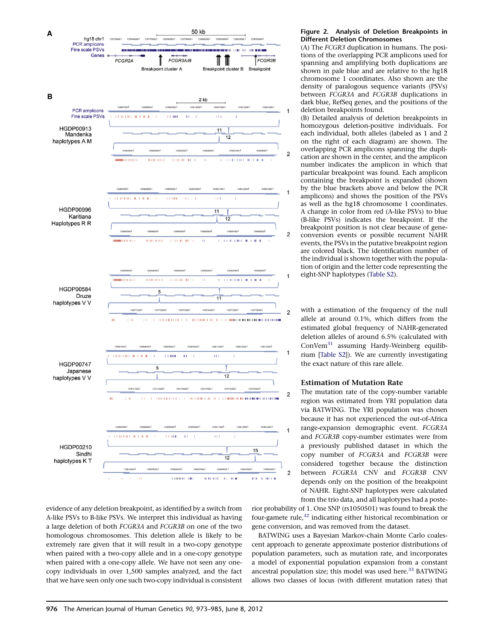<span id="page-3-0"></span>

evidence of any deletion breakpoint, as identified by a switch from A-like PSVs to B-like PSVs. We interpret this individual as having a large deletion of both FCGR3A and FCGR3B on one of the two homologous chromosomes. This deletion allele is likely to be extremely rare given that it will result in a two-copy genotype when paired with a two-copy allele and in a one-copy genotype when paired with a one-copy allele. We have not seen any onecopy individuals in over 1,500 samples analyzed, and the fact that we have seen only one such two-copy individual is consistent

#### Figure 2. Analysis of Deletion Breakpoints in Different Deletion Chromosomes

(A) The FCGR3 duplication in humans. The positions of the overlapping PCR amplicons used for spanning and amplifying both duplications are shown in pale blue and are relative to the hg18 chromosome 1 coordinates. Also shown are the density of paralogous sequence variants (PSVs) between  $FCR3A$  and  $FCR3B$  duplications in dark blue, RefSeq genes, and the positions of the deletion breakpoints found.

(B) Detailed analysis of deletion breakpoints in homozygous deletion-positive individuals. For each individual, both alleles (labeled as 1 and 2 on the right of each diagram) are shown. The overlapping PCR amplicons spanning the duplication are shown in the center, and the amplicon number indicates the amplicon in which that particular breakpoint was found. Each amplicon containing the breakpoint is expanded (shown by the blue brackets above and below the PCR amplicons) and shows the position of the PSVs as well as the hg18 chromosome 1 coordinates. A change in color from red (A-like PSVs) to blue (B-like PSVs) indicates the breakpoint. If the breakpoint position is not clear because of geneconversion events or possible recurrent NAHR events, the PSVs in the putative breakpoint region are colored black. The identification number of the individual is shown together with the population of origin and the letter code representing the eight-SNP haplotypes [\(Table S2](#page-10-0)).

with a estimation of the frequency of the null allele at around 0.1%, which differs from the estimated global frequency of NAHR-generated deletion alleles of around 6.5% (calculated with ConVem[31](#page-12-0) assuming Hardy-Weinberg equilibrium [\[Table S2](#page-10-0)]). We are currently investigating the exact nature of this rare allele.

#### Estimation of Mutation Rate

The mutation rate of the copy-number variable region was estimated from YRI population data via BATWING. The YRI population was chosen because it has not experienced the out-of-Africa range-expansion demographic event. FCGR3A and FCGR3B copy-number estimates were from a previously published dataset in which the copy number of FCGR3A and FCGR3B were considered together because the distinction between FCGR3A CNV and FCGR3B CNV depends only on the position of the breakpoint of NAHR. Eight-SNP haplotypes were calculated from the trio data, and all haplotypes had a poste-

rior probability of 1. One SNP (rs1050501) was found to break the four-gamete rule, $32$  indicating either historical recombination or gene conversion, and was removed from the dataset.

BATWING uses a Bayesian Markov-chain Monte Carlo coalescent approach to generate approximate posterior distributions of population parameters, such as mutation rate, and incorporates a model of exponential population expansion from a constant ancestral population size; this model was used here.<sup>[33](#page-12-0)</sup> BATWING allows two classes of locus (with different mutation rates) that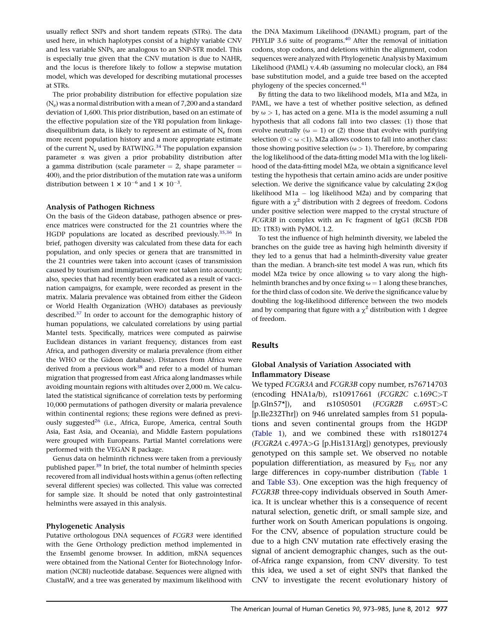usually reflect SNPs and short tandem repeats (STRs). The data used here, in which haplotypes consist of a highly variable CNV and less variable SNPs, are analogous to an SNP-STR model. This is especially true given that the CNV mutation is due to NAHR, and the locus is therefore likely to follow a stepwise mutation model, which was developed for describing mutational processes at STRs.

The prior probability distribution for effective population size  $(N_e)$  was a normal distribution with a mean of 7,200 and a standard deviation of 1,600. This prior distribution, based on an estimate of the effective population size of the YRI population from linkagedisequilibrium data, is likely to represent an estimate of  $N_e$  from more recent population history and a more appropriate estimate of the current  $N_e$  used by BATWING.<sup>34</sup> The population expansion parameter a was given a prior probability distribution after a gamma distribution (scale parameter  $= 2$ , shape parameter  $=$ 400), and the prior distribution of the mutation rate was a uniform distribution between  $1 \times 10^{-6}$  and  $1 \times 10^{-3}$ .

#### Analysis of Pathogen Richness

On the basis of the Gideon database, pathogen absence or presence matrices were constructed for the 21 countries where the HGDP populations are located as described previously.<sup>[35,36](#page-12-0)</sup> In brief, pathogen diversity was calculated from these data for each population, and only species or genera that are transmitted in the 21 countries were taken into account (cases of transmission caused by tourism and immigration were not taken into account); also, species that had recently been eradicated as a result of vaccination campaigns, for example, were recorded as present in the matrix. Malaria prevalence was obtained from either the Gideon or World Health Organization (WHO) databases as previously described.<sup>[37](#page-12-0)</sup> In order to account for the demographic history of human populations, we calculated correlations by using partial Mantel tests. Specifically, matrices were computed as pairwise Euclidean distances in variant frequency, distances from east Africa, and pathogen diversity or malaria prevalence (from either the WHO or the Gideon database). Distances from Africa were derived from a previous work<sup>38</sup> and refer to a model of human migration that progressed from east Africa along landmasses while avoiding mountain regions with altitudes over 2,000 m. We calculated the statistical significance of correlation tests by performing 10,000 permutations of pathogen diversity or malaria prevalence within continental regions; these regions were defined as previously suggested<sup>26</sup> (i.e., Africa, Europe, America, central South Asia, East Asia, and Oceania), and Middle Eastern populations were grouped with Europeans. Partial Mantel correlations were performed with the VEGAN R package.

Genus data on helminth richness were taken from a previously published paper.<sup>39</sup> In brief, the total number of helminth species recovered from all individual hosts within a genus (often reflecting several different species) was collected. This value was corrected for sample size. It should be noted that only gastrointestinal helminths were assayed in this analysis.

## Phylogenetic Analysis

Putative orthologous DNA sequences of FCGR3 were identified with the Gene Orthology prediction method implemented in the Ensembl genome browser. In addition, mRNA sequences were obtained from the National Center for Biotechnology Information (NCBI) nucleotide database. Sequences were aligned with ClustalW, and a tree was generated by maximum likelihood with

the DNA Maximum Likelihood (DNAML) program, part of the PHYLIP 3.6 suite of programs.<sup>[40](#page-12-0)</sup> After the removal of initiation codons, stop codons, and deletions within the alignment, codon sequences were analyzed with Phylogenetic Analysis by Maximum Likelihood (PAML) v.4.4b (assuming no molecular clock), an F84 base substitution model, and a guide tree based on the accepted phylogeny of the species concerned.<sup>[41](#page-12-0)</sup>

By fitting the data to two likelihood models, M1a and M2a, in PAML, we have a test of whether positive selection, as defined by  $\omega > 1$ , has acted on a gene. M1a is the model assuming a null hypothesis that all codons fall into two classes: (1) those that evolve neutrally ( $\omega = 1$ ) or (2) those that evolve with purifying selection ( $0 < \omega < 1$ ). M2a allows codons to fall into another class: those showing positive selection ( $\omega > 1$ ). Therefore, by comparing the log likelihood of the data-fitting model M1a with the log likelihood of the data-fitting model M2a, we obtain a significance level testing the hypothesis that certain amino acids are under positive selection. We derive the significance value by calculating  $2\times$  (log likelihood M1a  $-$  log likelihood M2a) and by comparing that figure with a  $\gamma^2$  distribution with 2 degrees of freedom. Codons under positive selection were mapped to the crystal structure of FCGR3B in complex with an Fc fragment of IgG1 (RCSB PDB ID: 1T83) with PyMOL 1.2.

To test the influence of high helminth diversity, we labeled the branches on the guide tree as having high helminth diversity if they led to a genus that had a helminth-diversity value greater than the median. A branch-site test model A was run, which fits model M2a twice by once allowing  $\omega$  to vary along the highhelminth branches and by once fixing  $\omega = 1$  along these branches, for the third class of codon site. We derive the significance value by doubling the log-likelihood difference between the two models and by comparing that figure with a  $\chi^2$  distribution with 1 degree of freedom.

#### Results

## Global Analysis of Variation Associated with Inflammatory Disease

We typed *FCGR3A* and *FCGR3B* copy number, rs76714703 (encoding HNA1a/b), rs10917661 (FCGR2C c.169C>T  $[p.Gln57*])$ , and  $rs1050501$  (*FCGR2B* c.695T>C [p.Ile232Thr]) on 946 unrelated samples from 51 populations and seven continental groups from the HGDP ([Table 1\)](#page-5-0), and we combined these with rs1801274 (FCGR2A c.497A>G [p.His131Arg]) genotypes, previously genotyped on this sample set. We observed no notable population differentiation, as measured by  $F_{ST}$ , nor any large differences in copy-number distribution [\(Table 1](#page-5-0) and [Table S3](#page-10-0)). One exception was the high frequency of FCGR3B three-copy individuals observed in South America. It is unclear whether this is a consequence of recent natural selection, genetic drift, or small sample size, and further work on South American populations is ongoing. For the CNV, absence of population structure could be due to a high CNV mutation rate effectively erasing the signal of ancient demographic changes, such as the outof-Africa range expansion, from CNV diversity. To test this idea, we used a set of eight SNPs that flanked the CNV to investigate the recent evolutionary history of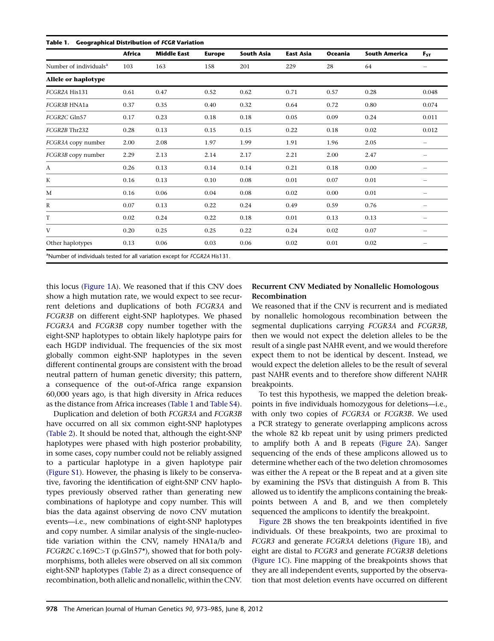<span id="page-5-0"></span>

|                                    | Africa | <b>Middle East</b> | <b>Europe</b> | <b>South Asia</b> | <b>East Asia</b> | <b>Oceania</b> | <b>South America</b> | $F_{ST}$                 |
|------------------------------------|--------|--------------------|---------------|-------------------|------------------|----------------|----------------------|--------------------------|
| Number of individuals <sup>a</sup> | 103    | 163                | 158           | 201               | 229              | 28             | 64                   |                          |
| Allele or haplotype                |        |                    |               |                   |                  |                |                      |                          |
| FCGR2A His131                      | 0.61   | 0.47               | 0.52          | 0.62              | 0.71             | 0.57           | 0.28                 | 0.048                    |
| FCGR3B HNA1a                       | 0.37   | 0.35               | 0.40          | 0.32              | 0.64             | 0.72           | 0.80                 | 0.074                    |
| FCGR2C Gln57                       | 0.17   | 0.23               | 0.18          | 0.18              | 0.05             | 0.09           | 0.24                 | 0.011                    |
| FCGR2B Thr232                      | 0.28   | 0.13               | 0.15          | 0.15              | 0.22             | 0.18           | 0.02                 | 0.012                    |
| FCGR3A copy number                 | 2.00   | 2.08               | 1.97          | 1.99              | 1.91             | 1.96           | 2.05                 | $\overline{\phantom{0}}$ |
| FCGR3B copy number                 | 2.29   | 2.13               | 2.14          | 2.17              | 2.21             | 2.00           | 2.47                 |                          |
| A                                  | 0.26   | 0.13               | 0.14          | 0.14              | 0.21             | 0.18           | 0.00                 | -                        |
| K                                  | 0.16   | 0.13               | 0.10          | 0.08              | 0.01             | 0.07           | 0.01                 | -                        |
| M                                  | 0.16   | 0.06               | 0.04          | 0.08              | 0.02             | 0.00           | 0.01                 | $\overline{\phantom{0}}$ |
| $\mathbb R$                        | 0.07   | 0.13               | 0.22          | 0.24              | 0.49             | 0.59           | 0.76                 | $\qquad \qquad -$        |
| T                                  | 0.02   | 0.24               | 0.22          | 0.18              | 0.01             | 0.13           | 0.13                 |                          |
| $\mathbf{V}$                       | 0.20   | 0.25               | 0.25          | 0.22              | 0.24             | 0.02           | 0.07                 |                          |
| Other haplotypes                   | 0.13   | 0.06               | 0.03          | 0.06              | 0.02             | 0.01           | 0.02                 |                          |

this locus [\(Figure 1A](#page-1-0)). We reasoned that if this CNV does show a high mutation rate, we would expect to see recurrent deletions and duplications of both FCGR3A and FCGR3B on different eight-SNP haplotypes. We phased FCGR3A and FCGR3B copy number together with the eight-SNP haplotypes to obtain likely haplotype pairs for each HGDP individual. The frequencies of the six most globally common eight-SNP haplotypes in the seven different continental groups are consistent with the broad neutral pattern of human genetic diversity; this pattern, a consequence of the out-of-Africa range expansion 60,000 years ago, is that high diversity in Africa reduces as the distance from Africa increases (Table 1 and [Table S4\)](#page-10-0).

Duplication and deletion of both FCGR3A and FCGR3B have occurred on all six common eight-SNP haplotypes [\(Table 2\)](#page-6-0). It should be noted that, although the eight-SNP haplotypes were phased with high posterior probability, in some cases, copy number could not be reliably assigned to a particular haplotype in a given haplotype pair [\(Figure S1\)](#page-10-0). However, the phasing is likely to be conservative, favoring the identification of eight-SNP CNV haplotypes previously observed rather than generating new combinations of haplotype and copy number. This will bias the data against observing de novo CNV mutation events—i.e., new combinations of eight-SNP haplotypes and copy number. A similar analysis of the single-nucleotide variation within the CNV, namely HNA1a/b and FCGR2C c.169C>T (p.Gln57\*), showed that for both polymorphisms, both alleles were observed on all six common eight-SNP haplotypes [\(Table 2\)](#page-6-0) as a direct consequence of recombination, both allelic and nonallelic, within the CNV.

# Recurrent CNV Mediated by Nonallelic Homologous Recombination

We reasoned that if the CNV is recurrent and is mediated by nonallelic homologous recombination between the segmental duplications carrying FCGR3A and FCGR3B, then we would not expect the deletion alleles to be the result of a single past NAHR event, and we would therefore expect them to not be identical by descent. Instead, we would expect the deletion alleles to be the result of several past NAHR events and to therefore show different NAHR breakpoints.

To test this hypothesis, we mapped the deletion breakpoints in five individuals homozygous for deletions—i.e., with only two copies of FCGR3A or FCGR3B. We used a PCR strategy to generate overlapping amplicons across the whole 82 kb repeat unit by using primers predicted to amplify both A and B repeats ([Figure 2A](#page-3-0)). Sanger sequencing of the ends of these amplicons allowed us to determine whether each of the two deletion chromosomes was either the A repeat or the B repeat and at a given site by examining the PSVs that distinguish A from B. This allowed us to identify the amplicons containing the breakpoints between A and B, and we then completely sequenced the amplicons to identify the breakpoint.

[Figure 2B](#page-3-0) shows the ten breakpoints identified in five individuals. Of these breakpoints, two are proximal to FCGR3 and generate FCGR3A deletions [\(Figure 1B](#page-1-0)), and eight are distal to FCGR3 and generate FCGR3B deletions ([Figure 1](#page-1-0)C). Fine mapping of the breakpoints shows that they are all independent events, supported by the observation that most deletion events have occurred on different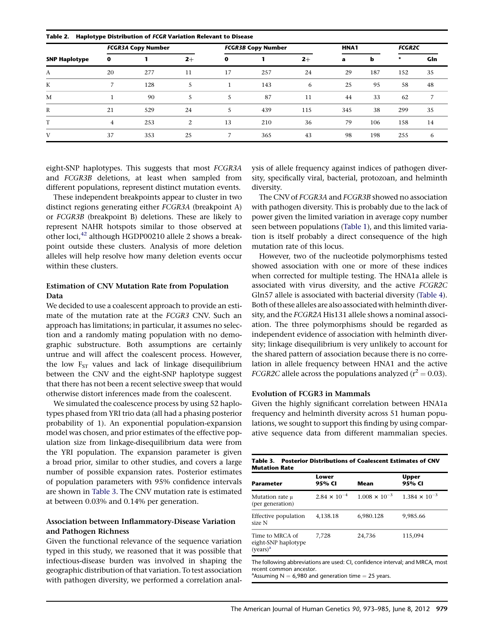<span id="page-6-0"></span>

| Haplotype Distribution of FCGR Variation Relevant to Disease<br>Table 2. |                           |     |      |                           |     |      |      |     |               |     |
|--------------------------------------------------------------------------|---------------------------|-----|------|---------------------------|-----|------|------|-----|---------------|-----|
| <b>SNP Haplotype</b>                                                     | <b>FCGR3A Copy Number</b> |     |      | <b>FCGR3B Copy Number</b> |     |      | HNA1 |     | <b>FCGR2C</b> |     |
|                                                                          | $\mathbf o$               |     | $2+$ | 0                         |     | $2+$ | a    | h   | $\star$       | Gln |
| А                                                                        | 20                        | 277 | 11   | 17                        | 257 | 24   | 29   | 187 | 152           | 35  |
| K                                                                        | ⇁                         | 128 | 5    |                           | 143 | 6    | 25   | 95  | 58            | 48  |
| M                                                                        |                           | 90  | 5    | 5                         | 87  | 11   | 44   | 33  | 62            | 7   |
| R                                                                        | 21                        | 529 | 24   | 5                         | 439 | 115  | 345  | 38  | 299           | 35  |
| T                                                                        | $\overline{4}$            | 253 | 2    | 13                        | 210 | 36   | 79   | 106 | 158           | 14  |
| V                                                                        | 37                        | 353 | 25   | 7                         | 365 | 43   | 98   | 198 | 255           | 6   |

eight-SNP haplotypes. This suggests that most FCGR3A and FCGR3B deletions, at least when sampled from different populations, represent distinct mutation events.

These independent breakpoints appear to cluster in two distinct regions generating either FCGR3A (breakpoint A) or FCGR3B (breakpoint B) deletions. These are likely to represent NAHR hotspots similar to those observed at other loci,<sup>[42](#page-12-0)</sup> although HGDP00210 allele 2 shows a breakpoint outside these clusters. Analysis of more deletion alleles will help resolve how many deletion events occur within these clusters.

## Estimation of CNV Mutation Rate from Population Data

We decided to use a coalescent approach to provide an estimate of the mutation rate at the FCGR3 CNV. Such an approach has limitations; in particular, it assumes no selection and a randomly mating population with no demographic substructure. Both assumptions are certainly untrue and will affect the coalescent process. However, the low  $F_{ST}$  values and lack of linkage disequilibrium between the CNV and the eight-SNP haplotype suggest that there has not been a recent selective sweep that would otherwise distort inferences made from the coalescent.

We simulated the coalescence process by using 52 haplotypes phased from YRI trio data (all had a phasing posterior probability of 1). An exponential population-expansion model was chosen, and prior estimates of the effective population size from linkage-disequilibrium data were from the YRI population. The expansion parameter is given a broad prior, similar to other studies, and covers a large number of possible expansion rates. Posterior estimates of population parameters with 95% confidence intervals are shown in Table 3. The CNV mutation rate is estimated at between 0.03% and 0.14% per generation.

## Association between Inflammatory-Disease Variation and Pathogen Richness

Given the functional relevance of the sequence variation typed in this study, we reasoned that it was possible that infectious-disease burden was involved in shaping the geographic distribution of that variation. To test association with pathogen diversity, we performed a correlation anal-

ysis of allele frequency against indices of pathogen diversity, specifically viral, bacterial, protozoan, and helminth diversity.

The CNV of FCGR3A and FCGR3B showed no association with pathogen diversity. This is probably due to the lack of power given the limited variation in average copy number seen between populations ([Table 1\)](#page-5-0), and this limited variation is itself probably a direct consequence of the high mutation rate of this locus.

However, two of the nucleotide polymorphisms tested showed association with one or more of these indices when corrected for multiple testing. The HNA1a allele is associated with virus diversity, and the active FCGR2C Gln57 allele is associated with bacterial diversity ([Table 4\)](#page-7-0). Both of these alleles are also associated with helminth diversity, and the FCGR2A His131 allele shows a nominal association. The three polymorphisms should be regarded as independent evidence of association with helminth diversity; linkage disequilibrium is very unlikely to account for the shared pattern of association because there is no correlation in allele frequency between HNA1 and the active *FCGR2C* allele across the populations analyzed ( $r^2 = 0.03$ ).

## Evolution of FCGR3 in Mammals

Given the highly significant correlation between HNA1a frequency and helminth diversity across 51 human populations, we sought to support this finding by using comparative sequence data from different mammalian species.

| <b>Parameter</b>                                               | Lower<br>95% CI       | Mean                   | Upper<br>95% CI        |  |
|----------------------------------------------------------------|-----------------------|------------------------|------------------------|--|
| Mutation rate μ<br>(per generation)                            | $2.84 \times 10^{-4}$ | $1.008 \times 10^{-3}$ | $1.384 \times 10^{-3}$ |  |
| Effective population<br>size N                                 | 4.138.18              | 6.980.128              | 9.985.66               |  |
| Time to MRCA of<br>eight-SNP haplotype<br>(vears) <sup>a</sup> | 7.728                 | 24,736                 | 115,094                |  |

The following abbreviations are used: CI, confidence interval; and MRCA, most recent common ancestor. <sup>a</sup> Assuming  $N = 6,980$  and generation time  $= 25$  years.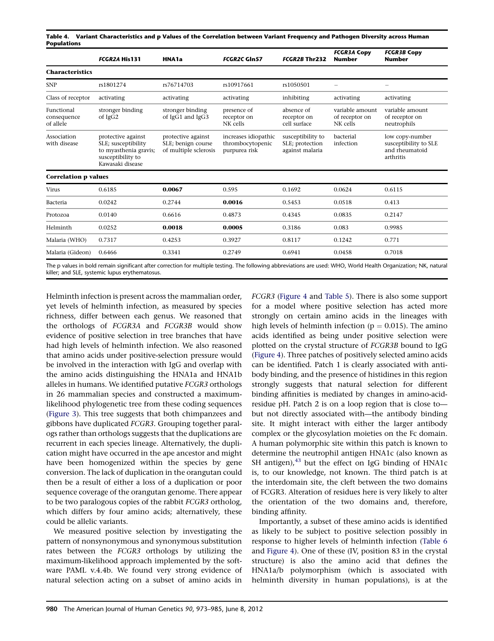<span id="page-7-0"></span>Table 4. Variant Characteristics and p Values of the Correlation between Variant Frequency and Pathogen Diversity across Human Populations

|                                        | FCGR2A His131                                                                                               | HNA1a                                                             | <b>FCGR2C GIn57</b>                                       | FCGR2B Thr232                                           | <b>FCGR3A Copy</b><br><b>Number</b>           | <b>FCGR3B Copy</b><br><b>Number</b>                                     |
|----------------------------------------|-------------------------------------------------------------------------------------------------------------|-------------------------------------------------------------------|-----------------------------------------------------------|---------------------------------------------------------|-----------------------------------------------|-------------------------------------------------------------------------|
| <b>Characteristics</b>                 |                                                                                                             |                                                                   |                                                           |                                                         |                                               |                                                                         |
| <b>SNP</b>                             | rs1801274                                                                                                   | rs76714703                                                        | rs10917661                                                | rs1050501                                               |                                               |                                                                         |
| Class of receptor                      | activating                                                                                                  | activating                                                        | activating                                                | inhibiting                                              | activating                                    | activating                                                              |
| Functional<br>consequence<br>of allele | stronger binding<br>of IgG2                                                                                 | stronger binding<br>of IgG1 and IgG3                              | presence of<br>receptor on<br>NK cells                    | absence of<br>receptor on<br>cell surface               | variable amount<br>of receptor on<br>NK cells | variable amount<br>of receptor on<br>neutrophils                        |
| Association<br>with disease            | protective against<br>SLE; susceptibility<br>to myasthenia gravis;<br>susceptibility to<br>Kawasaki disease | protective against<br>SLE; benign course<br>of multiple sclerosis | increases idiopathic<br>thrombocytopenic<br>purpurea risk | susceptibility to<br>SLE; protection<br>against malaria | bacterial<br>infection                        | low copy-number<br>susceptibility to SLE<br>and rheumatoid<br>arthritis |
| <b>Correlation p values</b>            |                                                                                                             |                                                                   |                                                           |                                                         |                                               |                                                                         |
| Virus                                  | 0.6185                                                                                                      | 0.0067                                                            | 0.595                                                     | 0.1692                                                  | 0.0624                                        | 0.6115                                                                  |
| Bacteria                               | 0.0242                                                                                                      | 0.2744                                                            | 0.0016                                                    | 0.5453                                                  | 0.0518                                        | 0.413                                                                   |
| Protozoa                               | 0.0140                                                                                                      | 0.6616                                                            | 0.4873                                                    | 0.4345                                                  | 0.0835                                        | 0.2147                                                                  |
| Helminth                               | 0.0252                                                                                                      | 0.0018                                                            | 0.0005                                                    | 0.3186                                                  | 0.083                                         | 0.9985                                                                  |
| Malaria (WHO)                          | 0.7317                                                                                                      | 0.4253                                                            | 0.3927                                                    | 0.8117                                                  | 0.1242                                        | 0.771                                                                   |
| Malaria (Gideon)                       | 0.6466                                                                                                      | 0.3341                                                            | 0.2749                                                    | 0.6941                                                  | 0.0458                                        | 0.7018                                                                  |
|                                        |                                                                                                             |                                                                   | $-1$ $\sim$ $-1$ $-1$ $\sim$ $-1$                         |                                                         | $14.010 \times 14.0 \times 11.0 \times 11.0$  |                                                                         |

The p values in bold remain significant after correction for multiple testing. The following abbreviations are used: WHO, World Health Organization; NK, natural killer; and SLE, systemic lupus erythematosus.

Helminth infection is present across the mammalian order, yet levels of helminth infection, as measured by species richness, differ between each genus. We reasoned that the orthologs of FCGR3A and FCGR3B would show evidence of positive selection in tree branches that have had high levels of helminth infection. We also reasoned that amino acids under positive-selection pressure would be involved in the interaction with IgG and overlap with the amino acids distinguishing the HNA1a and HNA1b alleles in humans. We identified putative FCGR3 orthologs in 26 mammalian species and constructed a maximumlikelihood phylogenetic tree from these coding sequences ([Figure 3](#page-8-0)). This tree suggests that both chimpanzees and gibbons have duplicated FCGR3. Grouping together paralogs rather than orthologs suggests that the duplications are recurrent in each species lineage. Alternatively, the duplication might have occurred in the ape ancestor and might have been homogenized within the species by gene conversion. The lack of duplication in the orangutan could then be a result of either a loss of a duplication or poor sequence coverage of the orangutan genome. There appear to be two paralogous copies of the rabbit FCGR3 ortholog, which differs by four amino acids; alternatively, these could be allelic variants.

We measured positive selection by investigating the pattern of nonsynonymous and synonymous substitution rates between the FCGR3 orthologs by utilizing the maximum-likelihood approach implemented by the software PAML v.4.4b. We found very strong evidence of natural selection acting on a subset of amino acids in

FCGR3 ([Figure 4](#page-9-0) and [Table 5\)](#page-10-0). There is also some support for a model where positive selection has acted more strongly on certain amino acids in the lineages with high levels of helminth infection ( $p = 0.015$ ). The amino acids identified as being under positive selection were plotted on the crystal structure of FCGR3B bound to IgG ([Figure 4](#page-9-0)). Three patches of positively selected amino acids can be identified. Patch 1 is clearly associated with antibody binding, and the presence of histidines in this region strongly suggests that natural selection for different binding affinities is mediated by changes in amino-acidresidue pH. Patch 2 is on a loop region that is close to but not directly associated with—the antibody binding site. It might interact with either the larger antibody complex or the glycosylation moieties on the Fc domain. A human polymorphic site within this patch is known to determine the neutrophil antigen HNA1c (also known as SH antigen), $^{43}$  but the effect on IgG binding of HNA1c is, to our knowledge, not known. The third patch is at the interdomain site, the cleft between the two domains of FCGR3. Alteration of residues here is very likely to alter the orientation of the two domains and, therefore, binding affinity.

Importantly, a subset of these amino acids is identified as likely to be subject to positive selection possibly in response to higher levels of helminth infection ([Table 6](#page-10-0) and [Figure 4\)](#page-9-0). One of these (IV, position 83 in the crystal structure) is also the amino acid that defines the HNA1a/b polymorphism (which is associated with helminth diversity in human populations), is at the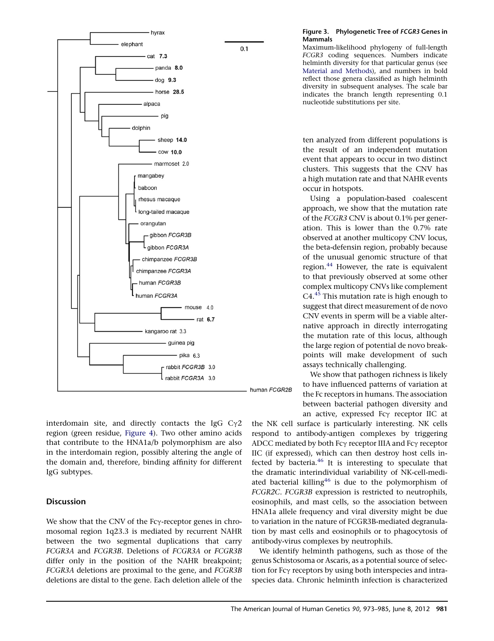<span id="page-8-0"></span>

interdomain site, and directly contacts the IgG  $C_{\gamma}2$ region (green residue, [Figure 4](#page-9-0)). Two other amino acids that contribute to the HNA1a/b polymorphism are also in the interdomain region, possibly altering the angle of the domain and, therefore, binding affinity for different IgG subtypes.

# **Discussion**

We show that the CNV of the Fc $\gamma$ -receptor genes in chromosomal region 1q23.3 is mediated by recurrent NAHR between the two segmental duplications that carry FCGR3A and FCGR3B. Deletions of FCGR3A or FCGR3B differ only in the position of the NAHR breakpoint; FCGR3A deletions are proximal to the gene, and FCGR3B deletions are distal to the gene. Each deletion allele of the

## Figure 3. Phylogenetic Tree of FCGR3 Genes in Mammals

Maximum-likelihood phylogeny of full-length FCGR3 coding sequences. Numbers indicate helminth diversity for that particular genus (see [Material and Methods](#page-1-0)), and numbers in bold reflect those genera classified as high helminth diversity in subsequent analyses. The scale bar indicates the branch length representing 0.1 nucleotide substitutions per site.

ten analyzed from different populations is the result of an independent mutation event that appears to occur in two distinct clusters. This suggests that the CNV has a high mutation rate and that NAHR events occur in hotspots.

Using a population-based coalescent approach, we show that the mutation rate of the FCGR3 CNV is about 0.1% per generation. This is lower than the 0.7% rate observed at another multicopy CNV locus, the beta-defensin region, probably because of the unusual genomic structure of that region.<sup>[44](#page-12-0)</sup> However, the rate is equivalent to that previously observed at some other complex multicopy CNVs like complement  $C4<sup>45</sup>$  $C4<sup>45</sup>$  $C4<sup>45</sup>$  This mutation rate is high enough to suggest that direct measurement of de novo CNV events in sperm will be a viable alternative approach in directly interrogating the mutation rate of this locus, although the large region of potential de novo breakpoints will make development of such assays technically challenging.

We show that pathogen richness is likely to have influenced patterns of variation at the Fc receptors in humans. The association between bacterial pathogen diversity and an active, expressed  $Fc\gamma$  receptor IIC at

the NK cell surface is particularly interesting. NK cells respond to antibody-antigen complexes by triggering ADCC mediated by both Fcy receptor IIIA and Fcy receptor IIC (if expressed), which can then destroy host cells infected by bacteria. $46$  It is interesting to speculate that the dramatic interindividual variability of NK-cell-mediated bacterial killing<sup>46</sup> is due to the polymorphism of FCGR2C. FCGR3B expression is restricted to neutrophils, eosinophils, and mast cells, so the association between HNA1a allele frequency and viral diversity might be due to variation in the nature of FCGR3B-mediated degranulation by mast cells and eosinophils or to phagocytosis of antibody-virus complexes by neutrophils.

We identify helminth pathogens, such as those of the genus Schistosoma or Ascaris, as a potential source of selection for Fc $\gamma$  receptors by using both interspecies and intraspecies data. Chronic helminth infection is characterized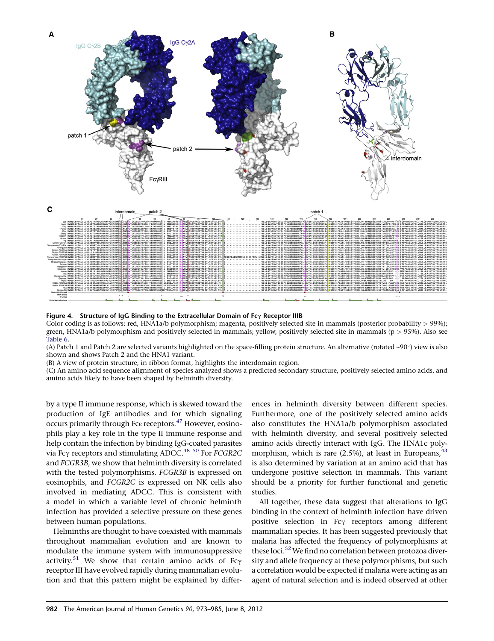<span id="page-9-0"></span>

Figure 4. Structure of IgG Binding to the Extracellular Domain of Fc $\gamma$  Receptor IIIB

Color coding is as follows: red, HNA1a/b polymorphism; magenta, positively selected site in mammals (posterior probability > 99%); green, HNA1a/b polymorphism and positively selected in mammals; yellow, positively selected site in mammals (p > 95%). Also see [Table 6.](#page-10-0)

(A) Patch 1 and Patch 2 are selected variants highlighted on the space-filling protein structure. An alternative (rotated ~90°) view is also shown and shows Patch 2 and the HNA1 variant.

(B) A view of protein structure, in ribbon format, highlights the interdomain region.

(C) An amino acid sequence alignment of species analyzed shows a predicted secondary structure, positively selected amino acids, and amino acids likely to have been shaped by helminth diversity.

by a type II immune response, which is skewed toward the production of IgE antibodies and for which signaling occurs primarily through Fcε receptors.[47](#page-12-0) However, eosinophils play a key role in the type II immune response and help contain the infection by binding IgG-coated parasites via Fc $\gamma$  receptors and stimulating ADCC.<sup>[48–50](#page-12-0)</sup> For FCGR2C and FCGR3B, we show that helminth diversity is correlated with the tested polymorphisms. FCGR3B is expressed on eosinophils, and FCGR2C is expressed on NK cells also involved in mediating ADCC. This is consistent with a model in which a variable level of chronic helminth infection has provided a selective pressure on these genes between human populations.

Helminths are thought to have coexisted with mammals throughout mammalian evolution and are known to modulate the immune system with immunosuppressive activity.<sup>[51](#page-12-0)</sup> We show that certain amino acids of Fc $\gamma$ receptor III have evolved rapidly during mammalian evolution and that this pattern might be explained by differences in helminth diversity between different species. Furthermore, one of the positively selected amino acids also constitutes the HNA1a/b polymorphism associated with helminth diversity, and several positively selected amino acids directly interact with IgG. The HNA1c polymorphism, which is rare  $(2.5\%)$ , at least in Europeans,  $43$ is also determined by variation at an amino acid that has undergone positive selection in mammals. This variant should be a priority for further functional and genetic studies.

All together, these data suggest that alterations to IgG binding in the context of helminth infection have driven positive selection in Fcy receptors among different mammalian species. It has been suggested previously that malaria has affected the frequency of polymorphisms at these loci.<sup>[52](#page-12-0)</sup> We find no correlation between protozoa diversity and allele frequency at these polymorphisms, but such a correlation would be expected if malaria were acting as an agent of natural selection and is indeed observed at other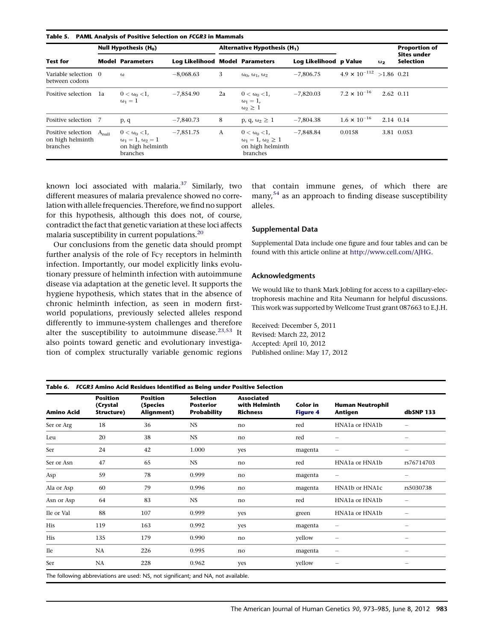<span id="page-10-0"></span>

| <b>Test for</b>                                               | Null Hypothesis $(H_0)$ |                                                                                |                                 | Alternative Hypothesis (H <sub>1</sub> ) |                                                                                       |                        |                                    |            | <b>Proportion of</b><br><b>Sites under</b> |
|---------------------------------------------------------------|-------------------------|--------------------------------------------------------------------------------|---------------------------------|------------------------------------------|---------------------------------------------------------------------------------------|------------------------|------------------------------------|------------|--------------------------------------------|
|                                                               |                         | <b>Model Parameters</b>                                                        | Log Likelihood Model Parameters |                                          |                                                                                       | Log Likelihood p Value |                                    | $\omega_2$ | <b>Selection</b>                           |
| Variable selection<br>between codons                          | $\Omega$                | $\omega$                                                                       | $-8,068.63$                     | 3                                        | $\omega_0$ , $\omega_1$ , $\omega_2$                                                  | $-7,806.75$            | $4.9 \times 10^{-112}$ > 1.86 0.21 |            |                                            |
| Positive selection                                            | 1a                      | $0 < \omega_0 < 1$<br>$\omega_1=1$                                             | $-7,854.90$                     | 2a                                       | $0 < \omega_0 < 1$<br>$\omega_1=1$ ,<br>$\omega_2 \geq 1$                             | $-7.820.03$            | 7.2 $\times$ 10 <sup>-16</sup>     |            | 2.62 0.11                                  |
| Positive selection 7                                          |                         | p, q                                                                           | $-7,840.73$                     | 8                                        | p, q, $\omega_2 \geq 1$                                                               | $-7,804.38$            | $1.6 \times 10^{-16}$              |            | 2.14 0.14                                  |
| Positive selection $A_{null}$<br>on high helminth<br>branches |                         | $0 < \omega_0 < 1$<br>$\omega_1=1, \omega_2=1$<br>on high helminth<br>branches | $-7,851.75$                     | A                                        | $0 < \omega_0 < 1$<br>$\omega_1 = 1, \omega_2 \geq 1$<br>on high helminth<br>branches | $-7.848.84$            | 0.0158                             |            | 3.81 0.053                                 |

known loci associated with malaria. $37$  Similarly, two different measures of malaria prevalence showed no correlation with allele frequencies. Therefore, we find no support for this hypothesis, although this does not, of course, contradict the fact that genetic variation at these loci affects malaria susceptibility in current populations.[20](#page-11-0)

Our conclusions from the genetic data should prompt further analysis of the role of  $Fc\gamma$  receptors in helminth infection. Importantly, our model explicitly links evolutionary pressure of helminth infection with autoimmune disease via adaptation at the genetic level. It supports the hygiene hypothesis, which states that in the absence of chronic helminth infection, as seen in modern firstworld populations, previously selected alleles respond differently to immune-system challenges and therefore alter the susceptibility to autoimmune disease.<sup>[23,53](#page-11-0)</sup> It also points toward genetic and evolutionary investigation of complex structurally variable genomic regions

that contain immune genes, of which there are many,<sup>[54](#page-12-0)</sup> as an approach to finding disease susceptibility alleles.

#### Supplemental Data

Supplemental Data include one figure and four tables and can be found with this article online at [http://www.cell.com/AJHG.](http://www.cell.com/AJHG)

#### Acknowledgments

We would like to thank Mark Jobling for access to a capillary-electrophoresis machine and Rita Neumann for helpful discussions. This work was supported by Wellcome Trust grant 087663 to E.J.H.

Received: December 5, 2011 Revised: March 22, 2012 Accepted: April 10, 2012 Published online: May 17, 2012

| <b>Amino Acid</b> | <b>Position</b><br>(Crystal<br>Structure) | <b>Position</b><br>(Species<br>Alignment) | <b>Selection</b><br><b>Posterior</b><br><b>Probability</b> | <b>Associated</b><br>with Helminth<br><b>Richness</b> | <b>Color</b> in<br><b>Figure 4</b> | <b>Human Neutrophil</b><br>Antigen                   | dbSNP 133                |
|-------------------|-------------------------------------------|-------------------------------------------|------------------------------------------------------------|-------------------------------------------------------|------------------------------------|------------------------------------------------------|--------------------------|
| Ser or Arg        | 18                                        | 36                                        | <b>NS</b>                                                  | no                                                    | red                                | HNA <sub>1</sub> a or HN <sub>A</sub> <sub>1</sub> b |                          |
| Leu               | 20                                        | 38                                        | <b>NS</b>                                                  | no                                                    | red                                | -                                                    | -                        |
| Ser               | 24                                        | 42                                        | 1.000                                                      | yes                                                   | magenta                            | -                                                    | —                        |
| Ser or Asn        | 47                                        | 65                                        | <b>NS</b>                                                  | no                                                    | red                                | HNA1a or HNA1b                                       | rs76714703               |
| Asp               | 59                                        | 78                                        | 0.999                                                      | no                                                    | magenta                            | -                                                    | -                        |
| Ala or Asp        | 60                                        | 79                                        | 0.996                                                      | no                                                    | magenta                            | HNA1b or HNA1c                                       | rs5030738                |
| Asn or Asp        | 64                                        | 83                                        | <b>NS</b>                                                  | no                                                    | red                                | HNA1a or HNA1b                                       | —                        |
| Ile or Val        | 88                                        | 107                                       | 0.999                                                      | yes                                                   | green                              | HNA1a or HNA1b                                       | $\overline{\phantom{0}}$ |
| His               | 119                                       | 163                                       | 0.992                                                      | yes                                                   | magenta                            | -                                                    | -                        |
| His               | 135                                       | 179                                       | 0.990                                                      | no                                                    | yellow                             | -                                                    | -                        |
| Ile               | NA                                        | 226                                       | 0.995                                                      | no                                                    | magenta                            | —                                                    | —                        |
| Ser               | <b>NA</b>                                 | 228                                       | 0.962                                                      | yes                                                   | yellow                             |                                                      |                          |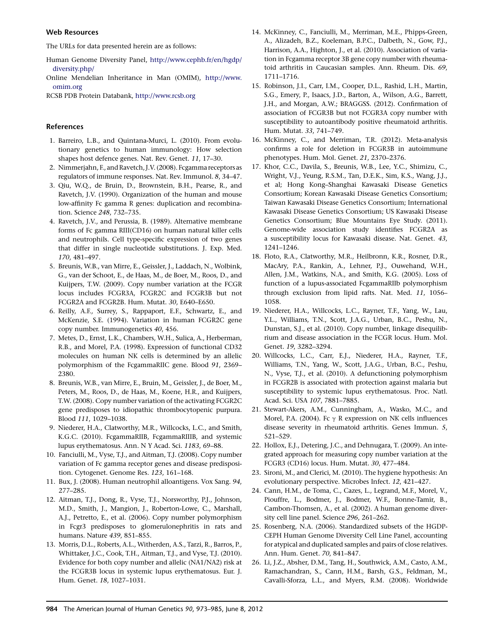#### <span id="page-11-0"></span>Web Resources

The URLs for data presented herein are as follows:

- Human Genome Diversity Panel, [http://www.cephb.fr/en/hgdp/](http://www.cephb.fr/en/hgdp/diversity.php/) [diversity.php/](http://www.cephb.fr/en/hgdp/diversity.php/)
- Online Mendelian Inheritance in Man (OMIM), [http://www.](http://www.omim.org) [omim.org](http://www.omim.org)

RCSB PDB Protein Databank, <http://www.rcsb.org>

## References

- 1. Barreiro, L.B., and Quintana-Murci, L. (2010). From evolutionary genetics to human immunology: How selection shapes host defence genes. Nat. Rev. Genet. 11, 17–30.
- 2. Nimmerjahn, F., and Ravetch, J.V. (2008). Fcgamma receptors as regulators of immune responses. Nat. Rev. Immunol. 8, 34–47.
- 3. Qiu, W.Q., de Bruin, D., Brownstein, B.H., Pearse, R., and Ravetch, J.V. (1990). Organization of the human and mouse low-affinity Fc gamma R genes: duplication and recombination. Science 248, 732–735.
- 4. Ravetch, J.V., and Perussia, B. (1989). Alternative membrane forms of Fc gamma RIII(CD16) on human natural killer cells and neutrophils. Cell type-specific expression of two genes that differ in single nucleotide substitutions. J. Exp. Med. 170, 481–497.
- 5. Breunis, W.B., van Mirre, E., Geissler, J., Laddach, N., Wolbink, G., van der Schoot, E., de Haas, M., de Boer, M., Roos, D., and Kuijpers, T.W. (2009). Copy number variation at the FCGR locus includes FCGR3A, FCGR2C and FCGR3B but not FCGR2A and FCGR2B. Hum. Mutat. 30, E640–E650.
- 6. Reilly, A.F., Surrey, S., Rappaport, E.F., Schwartz, E., and McKenzie, S.E. (1994). Variation in human FCGR2C gene copy number. Immunogenetics 40, 456.
- 7. Metes, D., Ernst, L.K., Chambers, W.H., Sulica, A., Herberman, R.B., and Morel, P.A. (1998). Expression of functional CD32 molecules on human NK cells is determined by an allelic polymorphism of the FcgammaRIIC gene. Blood 91, 2369– 2380.
- 8. Breunis, W.B., van Mirre, E., Bruin, M., Geissler, J., de Boer, M., Peters, M., Roos, D., de Haas, M., Koene, H.R., and Kuijpers, T.W. (2008). Copy number variation of the activating FCGR2C gene predisposes to idiopathic thrombocytopenic purpura. Blood 111, 1029–1038.
- 9. Niederer, H.A., Clatworthy, M.R., Willcocks, L.C., and Smith, K.G.C. (2010). FcgammaRIIB, FcgammaRIIIB, and systemic lupus erythematosus. Ann. N Y Acad. Sci. 1183, 69–88.
- 10. Fanciulli, M., Vyse, T.J., and Aitman, T.J. (2008). Copy number variation of Fc gamma receptor genes and disease predisposition. Cytogenet. Genome Res. 123, 161–168.
- 11. Bux, J. (2008). Human neutrophil alloantigens. Vox Sang. 94, 277–285.
- 12. Aitman, T.J., Dong, R., Vyse, T.J., Norsworthy, P.J., Johnson, M.D., Smith, J., Mangion, J., Roberton-Lowe, C., Marshall, A.J., Petretto, E., et al. (2006). Copy number polymorphism in Fcgr3 predisposes to glomerulonephritis in rats and humans. Nature 439, 851–855.
- 13. Morris, D.L., Roberts, A.L., Witherden, A.S., Tarzi, R., Barros, P., Whittaker, J.C., Cook, T.H., Aitman, T.J., and Vyse, T.J. (2010). Evidence for both copy number and allelic (NA1/NA2) risk at the FCGR3B locus in systemic lupus erythematosus. Eur. J. Hum. Genet. 18, 1027–1031.
- 14. McKinney, C., Fanciulli, M., Merriman, M.E., Phipps-Green, A., Alizadeh, B.Z., Koeleman, B.P.C., Dalbeth, N., Gow, P.J., Harrison, A.A., Highton, J., et al. (2010). Association of variation in Fcgamma receptor 3B gene copy number with rheumatoid arthritis in Caucasian samples. Ann. Rheum. Dis. 69, 1711–1716.
- 15. Robinson, J.I., Carr, I.M., Cooper, D.L., Rashid, L.H., Martin, S.G., Emery, P., Isaacs, J.D., Barton, A., Wilson, A.G., Barrett, J.H., and Morgan, A.W.; BRAGGSS. (2012). Confirmation of association of FCGR3B but not FCGR3A copy number with susceptibility to autoantibody positive rheumatoid arthritis. Hum. Mutat. 33, 741–749.
- 16. McKinney, C., and Merriman, T.R. (2012). Meta-analysis confirms a role for deletion in FCGR3B in autoimmune phenotypes. Hum. Mol. Genet. 21, 2370–2376.
- 17. Khor, C.C., Davila, S., Breunis, W.B., Lee, Y.C., Shimizu, C., Wright, V.J., Yeung, R.S.M., Tan, D.E.K., Sim, K.S., Wang, J.J., et al; Hong Kong–Shanghai Kawasaki Disease Genetics Consortium; Korean Kawasaki Disease Genetics Consortium; Taiwan Kawasaki Disease Genetics Consortium; International Kawasaki Disease Genetics Consortium; US Kawasaki Disease Genetics Consortium; Blue Mountains Eye Study. (2011). Genome-wide association study identifies FCGR2A as a susceptibility locus for Kawasaki disease. Nat. Genet. 43, 1241–1246.
- 18. Floto, R.A., Clatworthy, M.R., Heilbronn, K.R., Rosner, D.R., MacAry, P.A., Rankin, A., Lehner, P.J., Ouwehand, W.H., Allen, J.M., Watkins, N.A., and Smith, K.G. (2005). Loss of function of a lupus-associated FcgammaRIIb polymorphism through exclusion from lipid rafts. Nat. Med. 11, 1056– 1058.
- 19. Niederer, H.A., Willcocks, L.C., Rayner, T.F., Yang, W., Lau, Y.L., Williams, T.N., Scott, J.A.G., Urban, B.C., Peshu, N., Dunstan, S.J., et al. (2010). Copy number, linkage disequilibrium and disease association in the FCGR locus. Hum. Mol. Genet. 19, 3282–3294.
- 20. Willcocks, L.C., Carr, E.J., Niederer, H.A., Rayner, T.F., Williams, T.N., Yang, W., Scott, J.A.G., Urban, B.C., Peshu, N., Vyse, T.J., et al. (2010). A defunctioning polymorphism in FCGR2B is associated with protection against malaria but susceptibility to systemic lupus erythematosus. Proc. Natl. Acad. Sci. USA 107, 7881–7885.
- 21. Stewart-Akers, A.M., Cunningham, A., Wasko, M.C., and Morel, P.A. (2004). Fc  $\gamma$  R expression on NK cells influences disease severity in rheumatoid arthritis. Genes Immun. 5, 521–529.
- 22. Hollox, E.J., Detering, J.C., and Dehnugara, T. (2009). An integrated approach for measuring copy number variation at the FCGR3 (CD16) locus. Hum. Mutat. 30, 477–484.
- 23. Sironi, M., and Clerici, M. (2010). The hygiene hypothesis: An evolutionary perspective. Microbes Infect. 12, 421–427.
- 24. Cann, H.M., de Toma, C., Cazes, L., Legrand, M.F., Morel, V., Piouffre, L., Bodmer, J., Bodmer, W.F., Bonne-Tamir, B., Cambon-Thomsen, A., et al. (2002). A human genome diversity cell line panel. Science 296, 261–262.
- 25. Rosenberg, N.A. (2006). Standardized subsets of the HGDP-CEPH Human Genome Diversity Cell Line Panel, accounting for atypical and duplicated samples and pairs of close relatives. Ann. Hum. Genet. 70, 841–847.
- 26. Li, J.Z., Absher, D.M., Tang, H., Southwick, A.M., Casto, A.M., Ramachandran, S., Cann, H.M., Barsh, G.S., Feldman, M., Cavalli-Sforza, L.L., and Myers, R.M. (2008). Worldwide